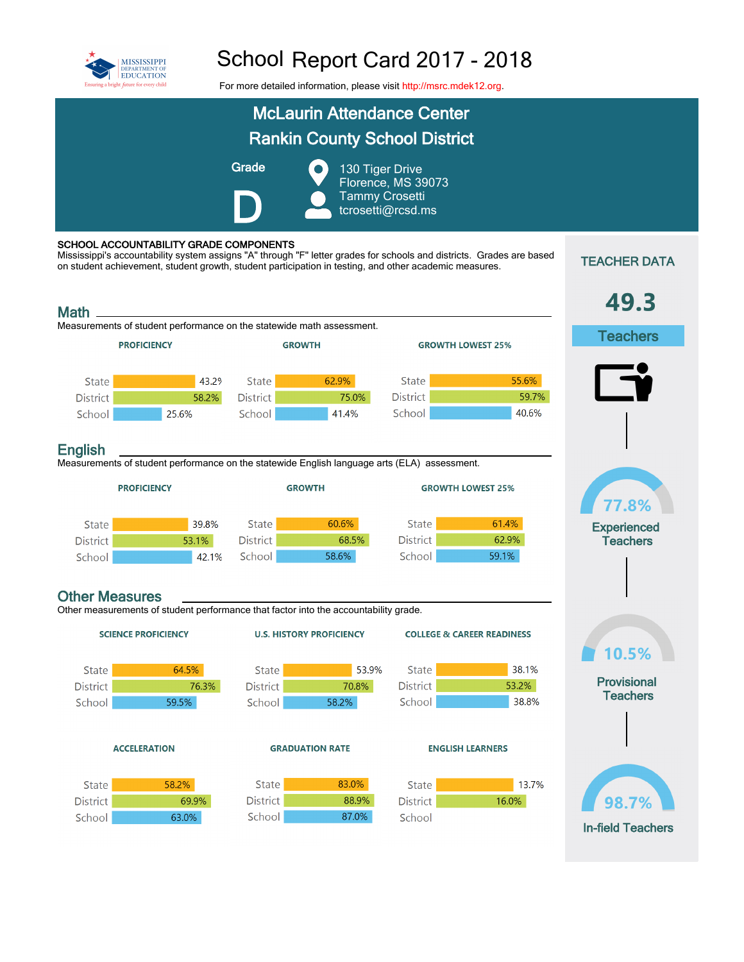

## School Report Card 2017 - 2018

For more detailed information, please visit [http://msrc.mdek12.org.](http://msrc.mdek12.org/)